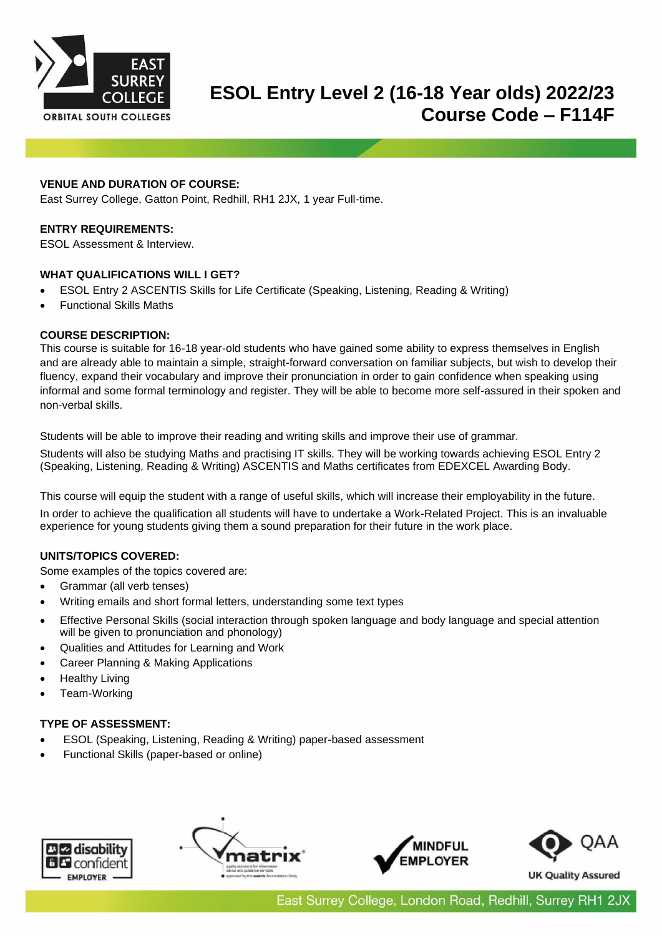

# **ESOL Entry Level 2 (16-18 Year olds) 2022/23 Course Code – F114F**

### **VENUE AND DURATION OF COURSE:**

East Surrey College, Gatton Point, Redhill, RH1 2JX, 1 year Full-time.

### **ENTRY REQUIREMENTS:**

ESOL Assessment & Interview.

#### **WHAT QUALIFICATIONS WILL I GET?**

- ESOL Entry 2 ASCENTIS Skills for Life Certificate (Speaking, Listening, Reading & Writing)
- Functional Skills Maths

#### **COURSE DESCRIPTION:**

This course is suitable for 16-18 year-old students who have gained some ability to express themselves in English and are already able to maintain a simple, straight-forward conversation on familiar subjects, but wish to develop their fluency, expand their vocabulary and improve their pronunciation in order to gain confidence when speaking using informal and some formal terminology and register. They will be able to become more self-assured in their spoken and non-verbal skills.

Students will be able to improve their reading and writing skills and improve their use of grammar.

Students will also be studying Maths and practising IT skills. They will be working towards achieving ESOL Entry 2 (Speaking, Listening, Reading & Writing) ASCENTIS and Maths certificates from EDEXCEL Awarding Body.

This course will equip the student with a range of useful skills, which will increase their employability in the future.

In order to achieve the qualification all students will have to undertake a Work-Related Project. This is an invaluable experience for young students giving them a sound preparation for their future in the work place.

## **UNITS/TOPICS COVERED:**

Some examples of the topics covered are:

- Grammar (all verb tenses)
- Writing emails and short formal letters, understanding some text types
- Effective Personal Skills (social interaction through spoken language and body language and special attention will be given to pronunciation and phonology)
- Qualities and Attitudes for Learning and Work
- Career Planning & Making Applications
- **Healthy Living**
- Team-Working

#### **TYPE OF ASSESSMENT:**

- ESOL (Speaking, Listening, Reading & Writing) paper-based assessment
- Functional Skills (paper-based or online)